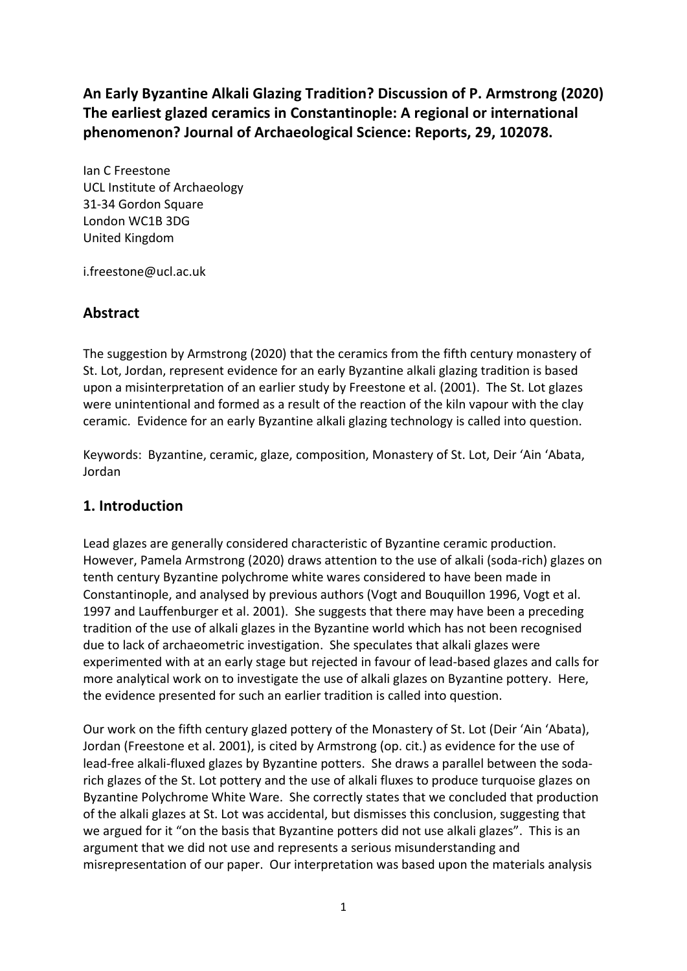**An Early Byzantine Alkali Glazing Tradition? Discussion of P. Armstrong (2020) The earliest glazed ceramics in Constantinople: A regional or international phenomenon? Journal of Archaeological Science: Reports, 29, 102078.**

Ian C Freestone UCL Institute of Archaeology 31-34 Gordon Square London WC1B 3DG United Kingdom

i.freestone@ucl.ac.uk

## **Abstract**

The suggestion by Armstrong (2020) that the ceramics from the fifth century monastery of St. Lot, Jordan, represent evidence for an early Byzantine alkali glazing tradition is based upon a misinterpretation of an earlier study by Freestone et al. (2001). The St. Lot glazes were unintentional and formed as a result of the reaction of the kiln vapour with the clay ceramic. Evidence for an early Byzantine alkali glazing technology is called into question.

Keywords: Byzantine, ceramic, glaze, composition, Monastery of St. Lot, Deir 'Ain 'Abata, Jordan

## **1. Introduction**

Lead glazes are generally considered characteristic of Byzantine ceramic production. However, Pamela Armstrong (2020) draws attention to the use of alkali (soda-rich) glazes on tenth century Byzantine polychrome white wares considered to have been made in Constantinople, and analysed by previous authors (Vogt and Bouquillon 1996, Vogt et al. 1997 and Lauffenburger et al. 2001). She suggests that there may have been a preceding tradition of the use of alkali glazes in the Byzantine world which has not been recognised due to lack of archaeometric investigation. She speculates that alkali glazes were experimented with at an early stage but rejected in favour of lead-based glazes and calls for more analytical work on to investigate the use of alkali glazes on Byzantine pottery. Here, the evidence presented for such an earlier tradition is called into question.

Our work on the fifth century glazed pottery of the Monastery of St. Lot (Deir 'Ain 'Abata), Jordan (Freestone et al. 2001), is cited by Armstrong (op. cit.) as evidence for the use of lead-free alkali-fluxed glazes by Byzantine potters. She draws a parallel between the sodarich glazes of the St. Lot pottery and the use of alkali fluxes to produce turquoise glazes on Byzantine Polychrome White Ware. She correctly states that we concluded that production of the alkali glazes at St. Lot was accidental, but dismisses this conclusion, suggesting that we argued for it "on the basis that Byzantine potters did not use alkali glazes". This is an argument that we did not use and represents a serious misunderstanding and misrepresentation of our paper. Our interpretation was based upon the materials analysis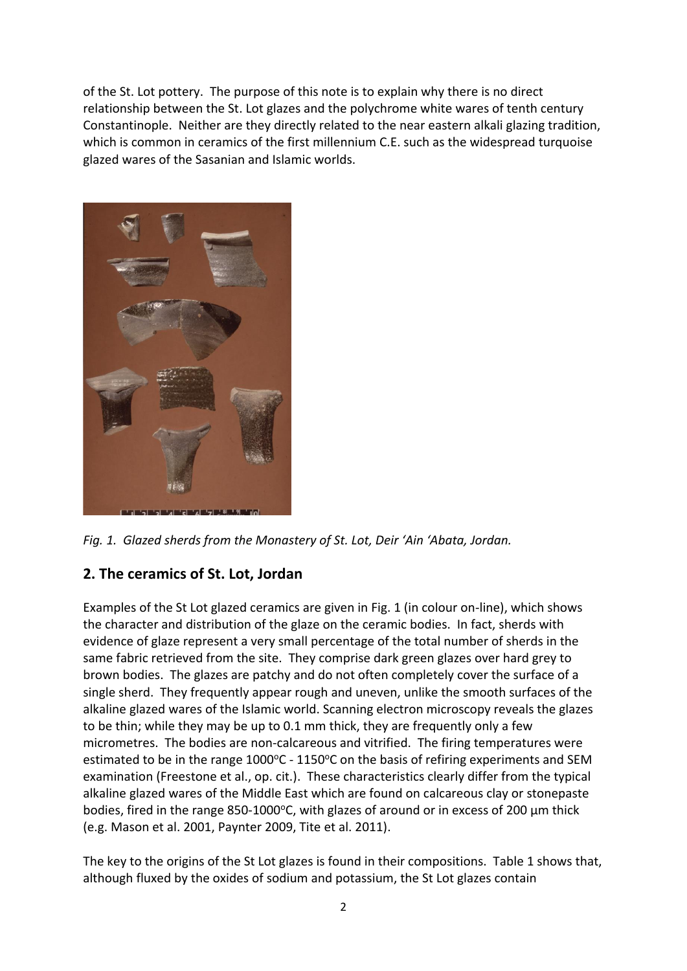of the St. Lot pottery. The purpose of this note is to explain why there is no direct relationship between the St. Lot glazes and the polychrome white wares of tenth century Constantinople. Neither are they directly related to the near eastern alkali glazing tradition, which is common in ceramics of the first millennium C.E. such as the widespread turquoise glazed wares of the Sasanian and Islamic worlds.



*Fig. 1. Glazed sherds from the Monastery of St. Lot, Deir 'Ain 'Abata, Jordan.*

# **2. The ceramics of St. Lot, Jordan**

Examples of the St Lot glazed ceramics are given in Fig. 1 (in colour on-line), which shows the character and distribution of the glaze on the ceramic bodies. In fact, sherds with evidence of glaze represent a very small percentage of the total number of sherds in the same fabric retrieved from the site. They comprise dark green glazes over hard grey to brown bodies. The glazes are patchy and do not often completely cover the surface of a single sherd. They frequently appear rough and uneven, unlike the smooth surfaces of the alkaline glazed wares of the Islamic world. Scanning electron microscopy reveals the glazes to be thin; while they may be up to 0.1 mm thick, they are frequently only a few micrometres. The bodies are non-calcareous and vitrified. The firing temperatures were estimated to be in the range 1000°C - 1150°C on the basis of refiring experiments and SEM examination (Freestone et al., op. cit.). These characteristics clearly differ from the typical alkaline glazed wares of the Middle East which are found on calcareous clay or stonepaste bodies, fired in the range 850-1000°C, with glazes of around or in excess of 200 µm thick (e.g. Mason et al. 2001, Paynter 2009, Tite et al. 2011).

The key to the origins of the St Lot glazes is found in their compositions. Table 1 shows that, although fluxed by the oxides of sodium and potassium, the St Lot glazes contain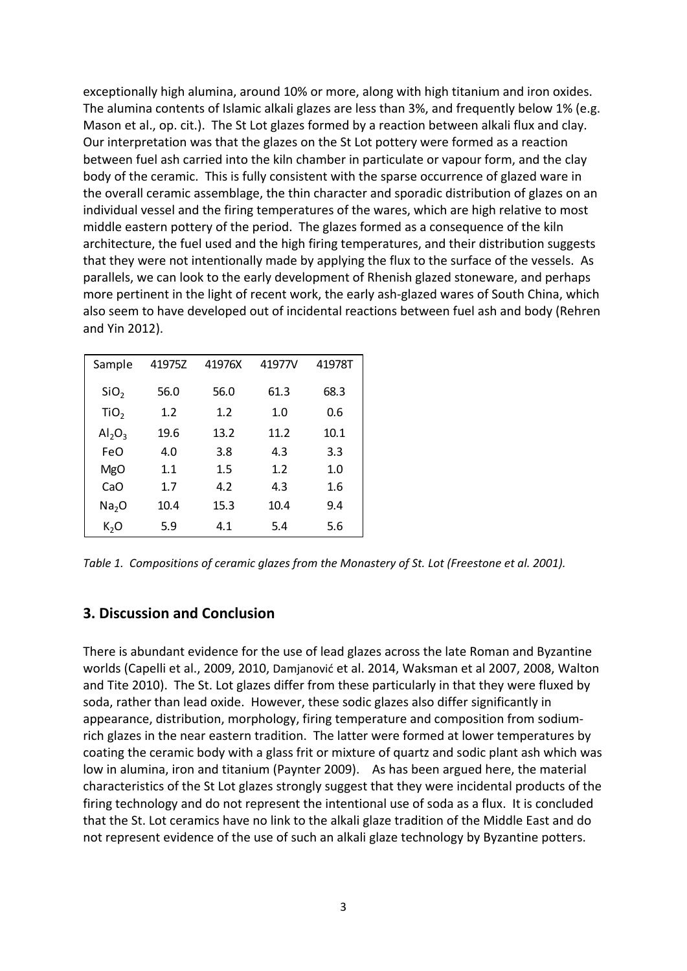exceptionally high alumina, around 10% or more, along with high titanium and iron oxides. The alumina contents of Islamic alkali glazes are less than 3%, and frequently below 1% (e.g. Mason et al., op. cit.). The St Lot glazes formed by a reaction between alkali flux and clay. Our interpretation was that the glazes on the St Lot pottery were formed as a reaction between fuel ash carried into the kiln chamber in particulate or vapour form, and the clay body of the ceramic. This is fully consistent with the sparse occurrence of glazed ware in the overall ceramic assemblage, the thin character and sporadic distribution of glazes on an individual vessel and the firing temperatures of the wares, which are high relative to most middle eastern pottery of the period. The glazes formed as a consequence of the kiln architecture, the fuel used and the high firing temperatures, and their distribution suggests that they were not intentionally made by applying the flux to the surface of the vessels. As parallels, we can look to the early development of Rhenish glazed stoneware, and perhaps more pertinent in the light of recent work, the early ash-glazed wares of South China, which also seem to have developed out of incidental reactions between fuel ash and body (Rehren and Yin 2012).

| Sample            | 41975Z | 41976X | 41977V | 41978T |
|-------------------|--------|--------|--------|--------|
| SiO <sub>2</sub>  | 56.0   | 56.0   | 61.3   | 68.3   |
| TiO <sub>2</sub>  | 1.2    | 1.2    | 1.0    | 0.6    |
| $Al_2O_3$         | 19.6   | 13.2   | 11.2   | 10.1   |
| FeO               | 4.0    | 3.8    | 4.3    | 3.3    |
| <b>MgO</b>        | 1.1    | 1.5    | 1.2    | 1.0    |
| CaO               | 1.7    | 4.2    | 4.3    | 1.6    |
| Na <sub>2</sub> O | 10.4   | 15.3   | 10.4   | 9.4    |
| $K_2O$            | 5.9    | 4.1    | 5.4    | 5.6    |

*Table 1. Compositions of ceramic glazes from the Monastery of St. Lot (Freestone et al. 2001).*

#### **3. Discussion and Conclusion**

There is abundant evidence for the use of lead glazes across the late Roman and Byzantine worlds (Capelli et al., 2009, 2010, Damjanović et al. 2014, Waksman et al 2007, 2008, Walton and Tite 2010). The St. Lot glazes differ from these particularly in that they were fluxed by soda, rather than lead oxide. However, these sodic glazes also differ significantly in appearance, distribution, morphology, firing temperature and composition from sodiumrich glazes in the near eastern tradition. The latter were formed at lower temperatures by coating the ceramic body with a glass frit or mixture of quartz and sodic plant ash which was low in alumina, iron and titanium (Paynter 2009). As has been argued here, the material characteristics of the St Lot glazes strongly suggest that they were incidental products of the firing technology and do not represent the intentional use of soda as a flux. It is concluded that the St. Lot ceramics have no link to the alkali glaze tradition of the Middle East and do not represent evidence of the use of such an alkali glaze technology by Byzantine potters.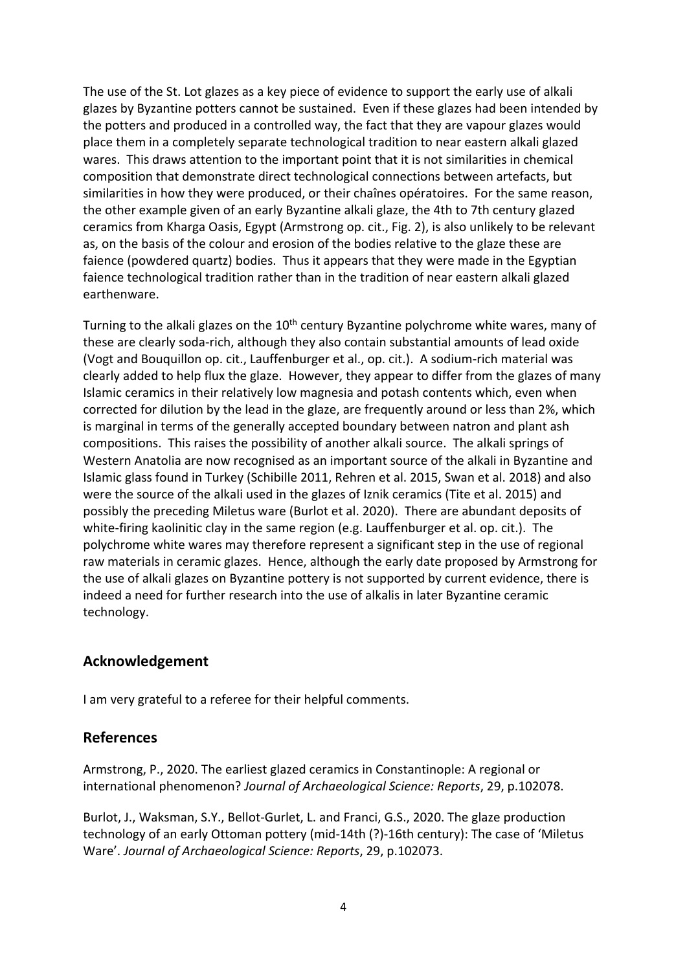The use of the St. Lot glazes as a key piece of evidence to support the early use of alkali glazes by Byzantine potters cannot be sustained. Even if these glazes had been intended by the potters and produced in a controlled way, the fact that they are vapour glazes would place them in a completely separate technological tradition to near eastern alkali glazed wares. This draws attention to the important point that it is not similarities in chemical composition that demonstrate direct technological connections between artefacts, but similarities in how they were produced, or their chaînes opératoires. For the same reason, the other example given of an early Byzantine alkali glaze, the 4th to 7th century glazed ceramics from Kharga Oasis, Egypt (Armstrong op. cit., Fig. 2), is also unlikely to be relevant as, on the basis of the colour and erosion of the bodies relative to the glaze these are faience (powdered quartz) bodies. Thus it appears that they were made in the Egyptian faience technological tradition rather than in the tradition of near eastern alkali glazed earthenware.

Turning to the alkali glazes on the 10<sup>th</sup> century Byzantine polychrome white wares, many of these are clearly soda-rich, although they also contain substantial amounts of lead oxide (Vogt and Bouquillon op. cit., Lauffenburger et al., op. cit.). A sodium-rich material was clearly added to help flux the glaze. However, they appear to differ from the glazes of many Islamic ceramics in their relatively low magnesia and potash contents which, even when corrected for dilution by the lead in the glaze, are frequently around or less than 2%, which is marginal in terms of the generally accepted boundary between natron and plant ash compositions. This raises the possibility of another alkali source. The alkali springs of Western Anatolia are now recognised as an important source of the alkali in Byzantine and Islamic glass found in Turkey (Schibille 2011, Rehren et al. 2015, Swan et al. 2018) and also were the source of the alkali used in the glazes of Iznik ceramics (Tite et al. 2015) and possibly the preceding Miletus ware (Burlot et al. 2020). There are abundant deposits of white-firing kaolinitic clay in the same region (e.g. Lauffenburger et al. op. cit.). The polychrome white wares may therefore represent a significant step in the use of regional raw materials in ceramic glazes. Hence, although the early date proposed by Armstrong for the use of alkali glazes on Byzantine pottery is not supported by current evidence, there is indeed a need for further research into the use of alkalis in later Byzantine ceramic technology.

## **Acknowledgement**

I am very grateful to a referee for their helpful comments.

## **References**

Armstrong, P., 2020. The earliest glazed ceramics in Constantinople: A regional or international phenomenon? *Journal of Archaeological Science: Reports*, 29, p.102078.

Burlot, J., Waksman, S.Y., Bellot-Gurlet, L. and Franci, G.S., 2020. The glaze production technology of an early Ottoman pottery (mid-14th (?)-16th century): The case of 'Miletus Ware'. *Journal of Archaeological Science: Reports*, 29, p.102073.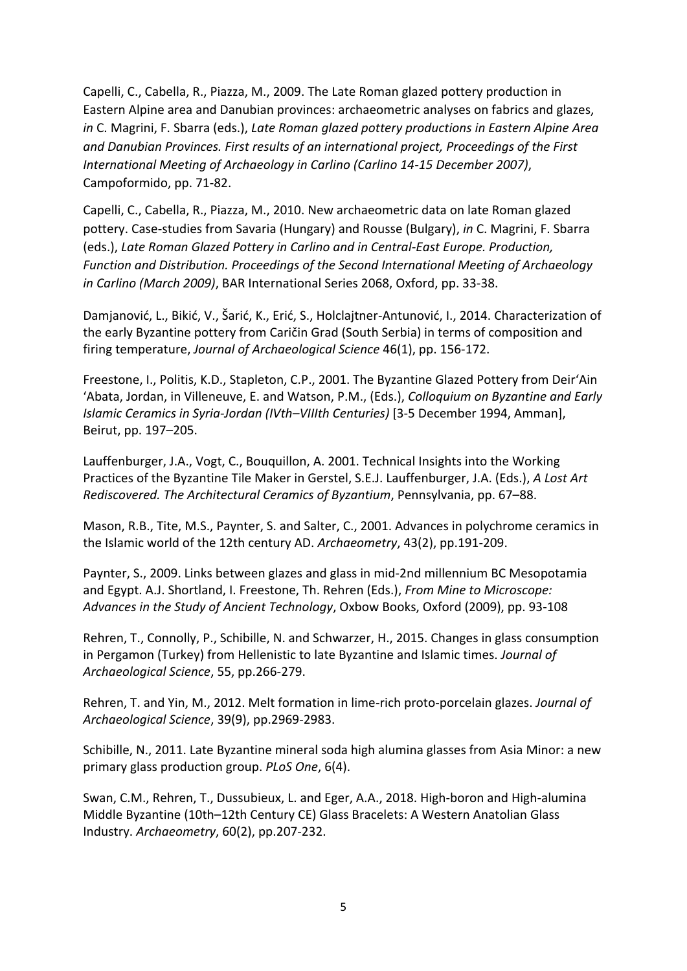Capelli, C., Cabella, R., Piazza, M., 2009. The Late Roman glazed pottery production in Eastern Alpine area and Danubian provinces: archaeometric analyses on fabrics and glazes, *in* C. Magrini, F. Sbarra (eds.), *Late Roman glazed pottery productions in Eastern Alpine Area and Danubian Provinces. First results of an international project, Proceedings of the First International Meeting of Archaeology in Carlino (Carlino 14-15 December 2007)*, Campoformido, pp. 71-82.

Capelli, C., Cabella, R., Piazza, M., 2010. New archaeometric data on late Roman glazed pottery. Case-studies from Savaria (Hungary) and Rousse (Bulgary), *in* C. Magrini, F. Sbarra (eds.), *Late Roman Glazed Pottery in Carlino and in Central-East Europe. Production, Function and Distribution. Proceedings of the Second International Meeting of Archaeology in Carlino (March 2009)*, BAR International Series 2068, Oxford, pp. 33-38.

Damjanović, L., Bikić, V., Šarić, K., Erić, S., Holclajtner-Antunović, I., 2014. Characterization of the early Byzantine pottery from Caričin Grad (South Serbia) in terms of composition and firing temperature, *Journal of Archaeological Science* 46(1), pp. 156-172.

Freestone, I., Politis, K.D., Stapleton, C.P., 2001. The Byzantine Glazed Pottery from Deir'Ain 'Abata, Jordan, in Villeneuve, E. and Watson, P.M., (Eds.), *Colloquium on Byzantine and Early Islamic Ceramics in Syria-Jordan (IVth–VIIIth Centuries)* [3-5 December 1994, Amman], Beirut, pp. 197–205.

Lauffenburger, J.A., Vogt, C., Bouquillon, A. 2001. Technical Insights into the Working Practices of the Byzantine Tile Maker in Gerstel, S.E.J. Lauffenburger, J.A. (Eds.), *A Lost Art Rediscovered. The Architectural Ceramics of Byzantium*, Pennsylvania, pp. 67–88.

Mason, R.B., Tite, M.S., Paynter, S. and Salter, C., 2001. Advances in polychrome ceramics in the Islamic world of the 12th century AD. *Archaeometry*, 43(2), pp.191-209.

Paynter, S., 2009. Links between glazes and glass in mid-2nd millennium BC Mesopotamia and Egypt. A.J. Shortland, I. Freestone, Th. Rehren (Eds.), *From Mine to Microscope: Advances in the Study of Ancient Technology*, Oxbow Books, Oxford (2009), pp. 93-108

Rehren, T., Connolly, P., Schibille, N. and Schwarzer, H., 2015. Changes in glass consumption in Pergamon (Turkey) from Hellenistic to late Byzantine and Islamic times. *Journal of Archaeological Science*, 55, pp.266-279.

Rehren, T. and Yin, M., 2012. Melt formation in lime-rich proto-porcelain glazes. *Journal of Archaeological Science*, 39(9), pp.2969-2983.

Schibille, N., 2011. Late Byzantine mineral soda high alumina glasses from Asia Minor: a new primary glass production group. *PLoS One*, 6(4).

Swan, C.M., Rehren, T., Dussubieux, L. and Eger, A.A., 2018. High‐boron and High‐alumina Middle Byzantine (10th–12th Century CE) Glass Bracelets: A Western Anatolian Glass Industry. *Archaeometry*, 60(2), pp.207-232.